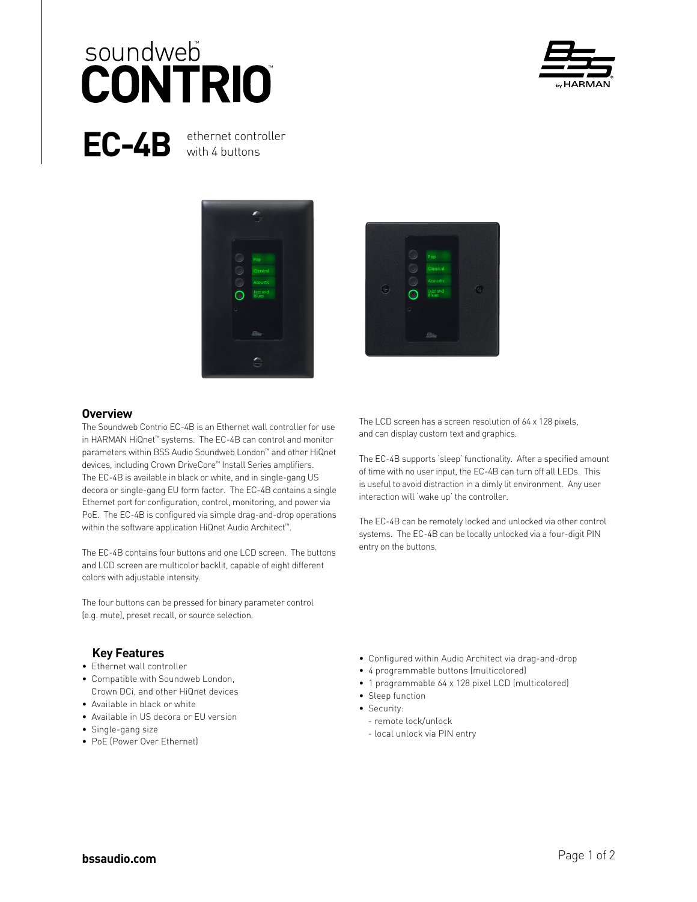## soundweb **CONTRIO**



EC-4B ethernet controller with 4 buttons





#### **Overview**

The Soundweb Contrio EC-4B is an Ethernet wall controller for use in HARMAN HiQnet™ systems. The EC-4B can control and monitor parameters within BSS Audio Soundweb London™ and other HiQnet devices, including Crown DriveCore™ Install Series amplifiers. The EC-4B is available in black or white, and in single-gang US decora or single-gang EU form factor. The EC-4B contains a single Ethernet port for configuration, control, monitoring, and power via PoE. The EC-4B is configured via simple drag-and-drop operations within the software application HiQnet Audio Architect™.

The EC-4B contains four buttons and one LCD screen. The buttons and LCD screen are multicolor backlit, capable of eight different colors with adjustable intensity.

The four buttons can be pressed for binary parameter control (e.g. mute), preset recall, or source selection.

#### **Key Features**

- Ethernet wall controller
- Compatible with Soundweb London, Crown DCi, and other HiQnet devices
- Available in black or white
- Available in US decora or EU version
- Single-gang size
- PoE (Power Over Ethernet)

The LCD screen has a screen resolution of 64 x 128 pixels, and can display custom text and graphics.

The EC-4B supports 'sleep' functionality. After a specified amount of time with no user input, the EC-4B can turn off all LEDs. This is useful to avoid distraction in a dimly lit environment. Any user interaction will 'wake up' the controller.

The EC-4B can be remotely locked and unlocked via other control systems. The EC-4B can be locally unlocked via a four-digit PIN entry on the buttons.

- Configured within Audio Architect via drag-and-drop
- 4 programmable buttons (multicolored)
- 1 programmable 64 x 128 pixel LCD (multicolored)
- Sleep function
- Security:
	- remote lock/unlock
	- local unlock via PIN entry